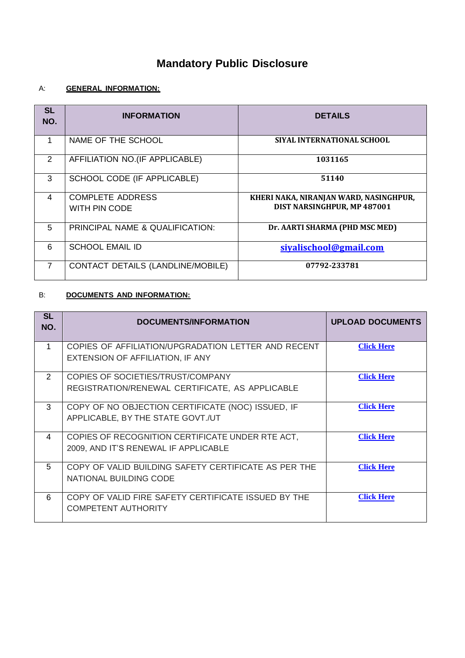# **Mandatory Public Disclosure**

# A: **GENERAL INFORMATION:**

| <b>SL</b><br>NO. | <b>INFORMATION</b>                | <b>DETAILS</b>                         |
|------------------|-----------------------------------|----------------------------------------|
| 1                | NAME OF THE SCHOOL                | SIYAL INTERNATIONAL SCHOOL             |
| 2                | AFFILIATION NO.(IF APPLICABLE)    | 1031165                                |
| 3                | SCHOOL CODE (IF APPLICABLE)       | 51140                                  |
| 4                | <b>COMPLETE ADDRESS</b>           | KHERI NAKA, NIRANJAN WARD, NASINGHPUR, |
|                  | WITH PIN CODE                     | DIST NARSINGHPUR, MP 487001            |
| 5                | PRINCIPAL NAME & QUALIFICATION:   | Dr. AARTI SHARMA (PHD MSC MED)         |
| 6                | <b>SCHOOL EMAIL ID</b>            | siyalischool@gmail.com                 |
| $\overline{7}$   | CONTACT DETAILS (LANDLINE/MOBILE) | 07792-233781                           |

## B: **DOCUMENTS AND INFORMATION:**

| <b>SL</b><br>NO. | DOCUMENTS/INFORMATION                                                                    | <b>UPLOAD DOCUMENTS</b> |
|------------------|------------------------------------------------------------------------------------------|-------------------------|
|                  | COPIES OF AFFILIATION/UPGRADATION LETTER AND RECENT<br>EXTENSION OF AFFILIATION, IF ANY  | <b>Click Here</b>       |
| $\mathcal{P}$    | COPIES OF SOCIETIES/TRUST/COMPANY<br>REGISTRATION/RENEWAL CERTIFICATE, AS APPLICABLE     | <b>Click Here</b>       |
| $\mathcal{S}$    | COPY OF NO OBJECTION CERTIFICATE (NOC) ISSUED, IF<br>APPLICABLE, BY THE STATE GOVT./UT   | <b>Click Here</b>       |
| 4                | COPIES OF RECOGNITION CERTIFICATE UNDER RTE ACT,<br>2009, AND IT'S RENEWAL IF APPLICABLE | <b>Click Here</b>       |
| 5                | COPY OF VALID BUILDING SAFETY CERTIFICATE AS PER THE<br>NATIONAL BUILDING CODE           | <b>Click Here</b>       |
| 6                | COPY OF VALID FIRE SAFETY CERTIFICATE ISSUED BY THE<br><b>COMPETENT AUTHORITY</b>        | <b>Click Here</b>       |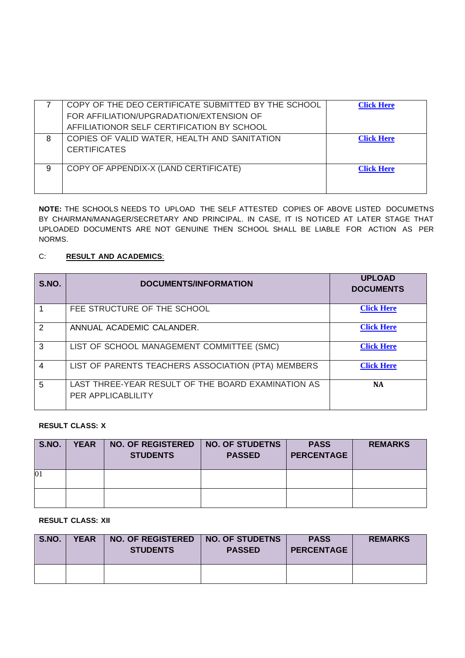|   | COPY OF THE DEO CERTIFICATE SUBMITTED BY THE SCHOOL<br>FOR AFFILIATION/UPGRADATION/EXTENSION OF<br>AFFILIATIONOR SELF CERTIFICATION BY SCHOOL | <b>Click Here</b> |
|---|-----------------------------------------------------------------------------------------------------------------------------------------------|-------------------|
| 8 | COPIES OF VALID WATER, HEALTH AND SANITATION<br><b>CERTIFICATES</b>                                                                           | <b>Click Here</b> |
| 9 | COPY OF APPENDIX-X (LAND CERTIFICATE)                                                                                                         | <b>Click Here</b> |

**NOTE:** THE SCHOOLS NEEDS TO UPLOAD THE SELF ATTESTED COPIES OF ABOVE LISTED DOCUMETNS BY CHAIRMAN/MANAGER/SECRETARY AND PRINCIPAL. IN CASE, IT IS NOTICED AT LATER STAGE THAT UPLOADED DOCUMENTS ARE NOT GENUINE THEN SCHOOL SHALL BE LIABLE FOR ACTION AS PER NORMS.

# C: **RESULT AND ACADEMICS**:

| S.NO.         | <b>DOCUMENTS/INFORMATION</b>                                             | <b>UPLOAD</b><br><b>DOCUMENTS</b> |
|---------------|--------------------------------------------------------------------------|-----------------------------------|
|               | FEE STRUCTURE OF THE SCHOOL                                              | <b>Click Here</b>                 |
| $\mathcal{P}$ | ANNUAL ACADEMIC CALANDER.                                                | <b>Click Here</b>                 |
| 3             | LIST OF SCHOOL MANAGEMENT COMMITTEE (SMC)                                | <b>Click Here</b>                 |
| 4             | LIST OF PARENTS TEACHERS ASSOCIATION (PTA) MEMBERS                       | <b>Click Here</b>                 |
| 5             | LAST THREE-YEAR RESULT OF THE BOARD EXAMINATION AS<br>PER APPLICABLILITY | <b>NA</b>                         |

#### **RESULT CLASS: X**

| S.NO. | <b>YEAR</b> | <b>NO. OF REGISTERED</b><br><b>STUDENTS</b> | <b>NO. OF STUDETNS</b><br><b>PASSED</b> | <b>PASS</b><br><b>PERCENTAGE</b> | <b>REMARKS</b> |
|-------|-------------|---------------------------------------------|-----------------------------------------|----------------------------------|----------------|
| 01    |             |                                             |                                         |                                  |                |
|       |             |                                             |                                         |                                  |                |

**RESULT CLASS: XII**

| <b>S.NO.</b> | <b>YEAR</b> | <b>NO. OF REGISTERED</b><br><b>STUDENTS</b> | <b>NO. OF STUDETNS</b><br><b>PASSED</b> | <b>PASS</b><br><b>PERCENTAGE</b> | <b>REMARKS</b> |
|--------------|-------------|---------------------------------------------|-----------------------------------------|----------------------------------|----------------|
|              |             |                                             |                                         |                                  |                |